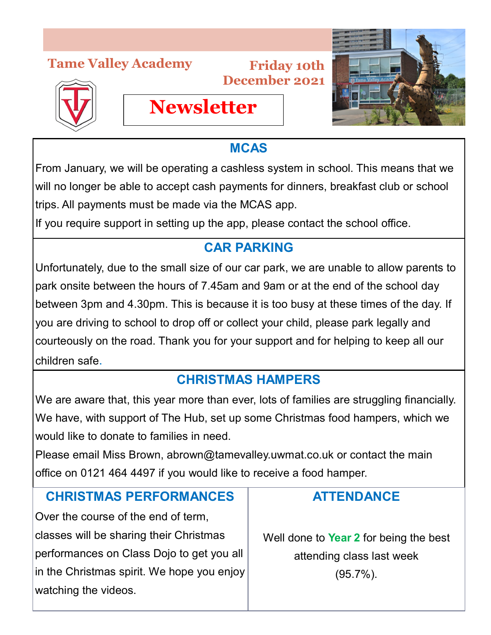## **Tame Valley Academy**





## **MCAS**

From January, we will be operating a cashless system in school. This means that we will no longer be able to accept cash payments for dinners, breakfast club or school trips. All payments must be made via the MCAS app.

If you require support in setting up the app, please contact the school office.

**Newsletter**

## **CAR PARKING**

Unfortunately, due to the small size of our car park, we are unable to allow parents to park onsite between the hours of 7.45am and 9am or at the end of the school day between 3pm and 4.30pm. This is because it is too busy at these times of the day. If you are driving to school to drop off or collect your child, please park legally and courteously on the road. Thank you for your support and for helping to keep all our children safe.

## **CHRISTMAS HAMPERS**

We are aware that, this year more than ever, lots of families are struggling financially. We have, with support of The Hub, set up some Christmas food hampers, which we would like to donate to families in need.

Please email Miss Brown, abrown@tamevalley.uwmat.co.uk or contact the main office on 0121 464 4497 if you would like to receive a food hamper.

#### **CHRISTMAS PERFORMANCES**

Over the course of the end of term, classes will be sharing their Christmas performances on Class Dojo to get you all in the Christmas spirit. We hope you enjoy watching the videos.

### **ATTENDANCE**

Well done to **Year 2** for being the best attending class last week

(95.7%).